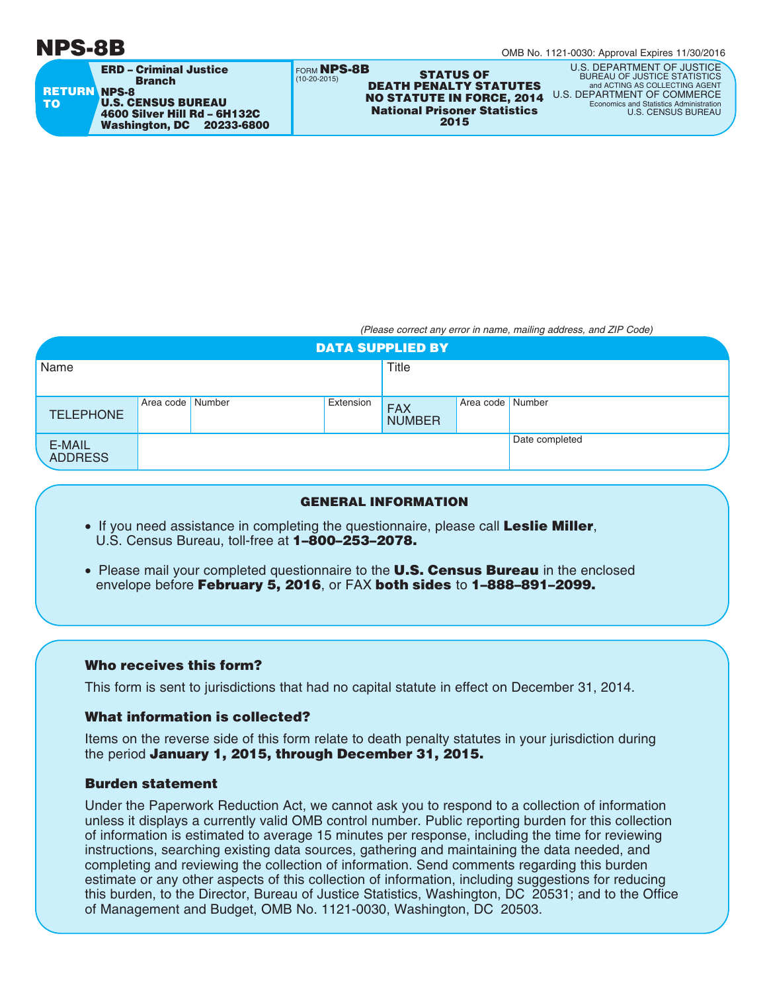# **NPS-8B**

| <b>ERD - Criminal Justice</b><br><b>Branch</b><br><b>RETURN NPS-8</b><br><b>U.S. CENSUS BUREAU</b><br><b>TO</b><br>4600 Silver Hill Rd - 6H132C<br>Washington, DC<br>20233-6800 | FORM NPS-8B<br><b>STATUS OF</b><br>$(10-20-2015)$<br><b>DEATH PENALTY STATUTES</b><br><b>NO STATUTE IN FORCE, 2014</b><br><b>National Prisoner Statistics</b><br>2015 | U.S. DEPARTMENT OF JUSTICE<br><b>BUREAU OF JUSTICE STATISTICS</b><br>and ACTING AS COLLECTING AGENT<br>U.S. DEPARTMENT OF COMMERCE<br>Economics and Statistics Administration<br><b>U.S. CENSUS BUREAU</b> |
|---------------------------------------------------------------------------------------------------------------------------------------------------------------------------------|-----------------------------------------------------------------------------------------------------------------------------------------------------------------------|------------------------------------------------------------------------------------------------------------------------------------------------------------------------------------------------------------|
|---------------------------------------------------------------------------------------------------------------------------------------------------------------------------------|-----------------------------------------------------------------------------------------------------------------------------------------------------------------------|------------------------------------------------------------------------------------------------------------------------------------------------------------------------------------------------------------|

*(Please correct any error in name, mailing address, and ZIP Code)*

| <b>DATA SUPPLIED BY</b>  |                  |  |           |                             |                  |                |
|--------------------------|------------------|--|-----------|-----------------------------|------------------|----------------|
| Name                     |                  |  |           | Title                       |                  |                |
|                          |                  |  |           |                             |                  |                |
| <b>TELEPHONE</b>         | Area code Number |  | Extension | <b>FAX</b><br><b>NUMBER</b> | Area code Number |                |
| E-MAIL<br><b>ADDRESS</b> |                  |  |           |                             |                  | Date completed |

#### **GENERAL INFORMATION**

- If you need assistance in completing the questionnaire, please call **Leslie Miller**, U.S. Census Bureau, toll-free at **1–800–253–2078.**
- Please mail your completed questionnaire to the **U.S. Census Bureau** in the enclosed envelope before **February 5, 2016**, or FAX **both sides** to **1–888–891–2099.**

### **Who receives this form?**

This form is sent to jurisdictions that had no capital statute in effect on December 31, 2014.

### **What information is collected?**

Items on the reverse side of this form relate to death penalty statutes in your jurisdiction during the period **January 1, 2015, through December 31, 2015.**

## **Burden statement**

Under the Paperwork Reduction Act, we cannot ask you to respond to a collection of information unless it displays a currently valid OMB control number. Public reporting burden for this collection of information is estimated to average 15 minutes per response, including the time for reviewing instructions, searching existing data sources, gathering and maintaining the data needed, and completing and reviewing the collection of information. Send comments regarding this burden estimate or any other aspects of this collection of information, including suggestions for reducing this burden, to the Director, Bureau of Justice Statistics, Washington, DC 20531; and to the Office of Management and Budget, OMB No. 1121-0030, Washington, DC 20503.